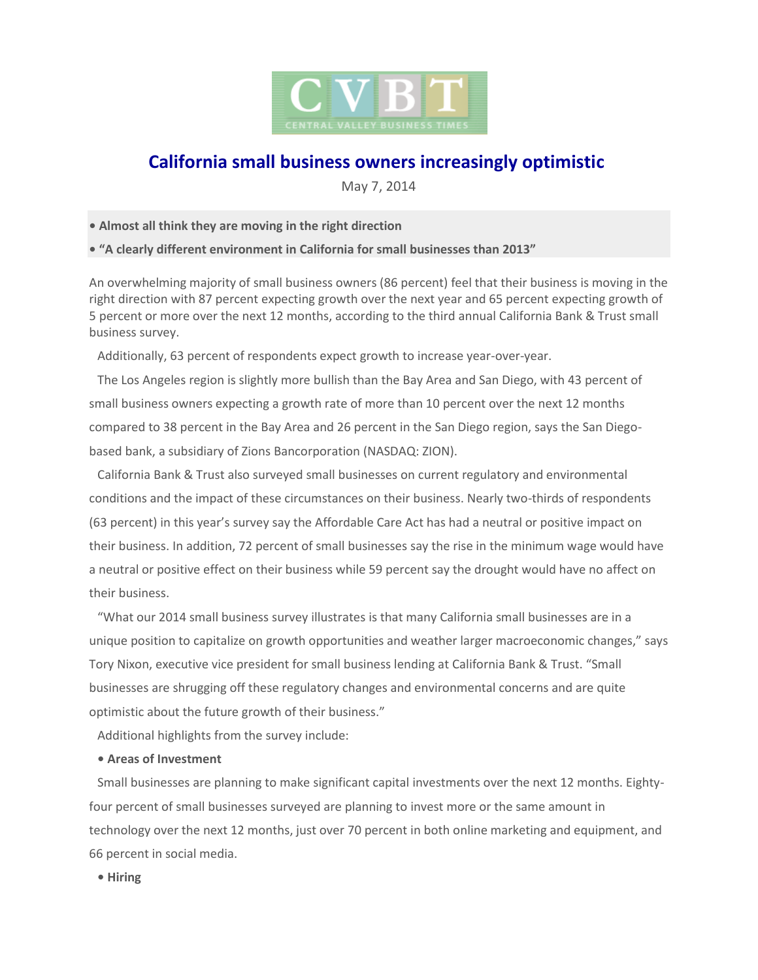

# **California small business owners increasingly optimistic**

May 7, 2014

**• Almost all think they are moving in the right direction**

**• "A clearly different environment in California for small businesses than 2013"**

An overwhelming majority of small business owners (86 percent) feel that their business is moving in the right direction with 87 percent expecting growth over the next year and 65 percent expecting growth of 5 percent or more over the next 12 months, according to the third annual California Bank & Trust small business survey.

Additionally, 63 percent of respondents expect growth to increase year-over-year.

The Los Angeles region is slightly more bullish than the Bay Area and San Diego, with 43 percent of small business owners expecting a growth rate of more than 10 percent over the next 12 months compared to 38 percent in the Bay Area and 26 percent in the San Diego region, says the San Diegobased bank, a subsidiary of Zions Bancorporation (NASDAQ: ZION).

California Bank & Trust also surveyed small businesses on current regulatory and environmental conditions and the impact of these circumstances on their business. Nearly two-thirds of respondents (63 percent) in this year's survey say the Affordable Care Act has had a neutral or positive impact on their business. In addition, 72 percent of small businesses say the rise in the minimum wage would have a neutral or positive effect on their business while 59 percent say the drought would have no affect on their business.

"What our 2014 small business survey illustrates is that many California small businesses are in a unique position to capitalize on growth opportunities and weather larger macroeconomic changes," says Tory Nixon, executive vice president for small business lending at California Bank & Trust. "Small businesses are shrugging off these regulatory changes and environmental concerns and are quite optimistic about the future growth of their business."

Additional highlights from the survey include:

# **• Areas of Investment**

Small businesses are planning to make significant capital investments over the next 12 months. Eightyfour percent of small businesses surveyed are planning to invest more or the same amount in technology over the next 12 months, just over 70 percent in both online marketing and equipment, and 66 percent in social media.

**• Hiring**